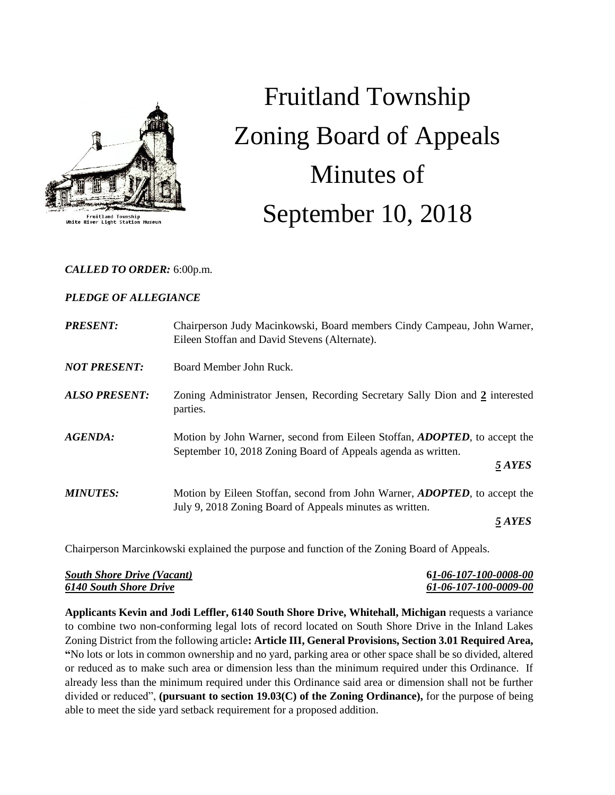

Fruitland Township<br>River Light Station Mus

# Fruitland Township Zoning Board of Appeals Minutes of September 10, 2018

## *CALLED TO ORDER:* 6:00p.m.

## *PLEDGE OF ALLEGIANCE*

| Chairperson Judy Macinkowski, Board members Cindy Campeau, John Warner,<br>Eileen Stoffan and David Stevens (Alternate).                                     |
|--------------------------------------------------------------------------------------------------------------------------------------------------------------|
| Board Member John Ruck.                                                                                                                                      |
| Zoning Administrator Jensen, Recording Secretary Sally Dion and 2 interested<br>parties.                                                                     |
| Motion by John Warner, second from Eileen Stoffan, <i>ADOPTED</i> , to accept the<br>September 10, 2018 Zoning Board of Appeals agenda as written.<br>5 AYES |
| Motion by Eileen Stoffan, second from John Warner, ADOPTED, to accept the                                                                                    |
| July 9, 2018 Zoning Board of Appeals minutes as written.<br>5 AYES                                                                                           |
|                                                                                                                                                              |

Chairperson Marcinkowski explained the purpose and function of the Zoning Board of Appeals.

| <b>South Shore Drive (Vacant)</b> | 61-06-107-100-0008-00 |
|-----------------------------------|-----------------------|
| <b>6140 South Shore Drive</b>     | 61-06-107-100-0009-00 |

**Applicants Kevin and Jodi Leffler, 6140 South Shore Drive, Whitehall, Michigan** requests a variance to combine two non-conforming legal lots of record located on South Shore Drive in the Inland Lakes Zoning District from the following article**: Article III, General Provisions, Section 3.01 Required Area, "**No lots or lots in common ownership and no yard, parking area or other space shall be so divided, altered or reduced as to make such area or dimension less than the minimum required under this Ordinance. If already less than the minimum required under this Ordinance said area or dimension shall not be further divided or reduced", **(pursuant to section 19.03(C) of the Zoning Ordinance),** for the purpose of being able to meet the side yard setback requirement for a proposed addition.